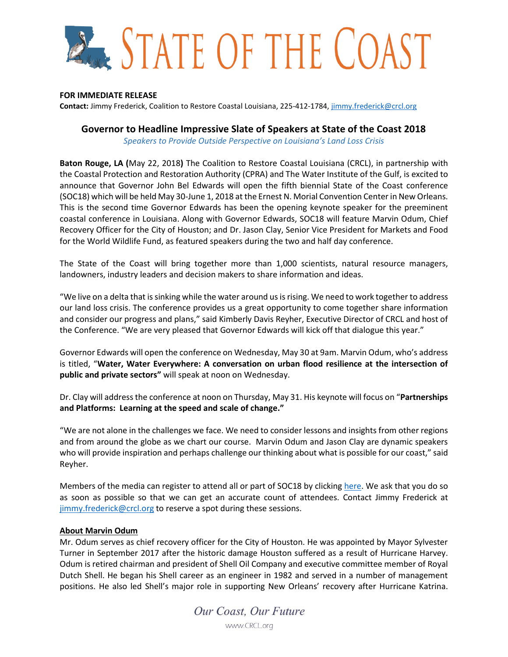# **ALL STATE OF THE COAST**

## **FOR IMMEDIATE RELEASE**

**Contact:** Jimmy Frederick, Coalition to Restore Coastal Louisiana, 225-412-1784, [jimmy.frederick@crcl.org](mailto:jimmy.frederick@crcl.org)

# **Governor to Headline Impressive Slate of Speakers at State of the Coast 2018**

*Speakers to Provide Outside Perspective on Louisiana's Land Loss Crisis*

**Baton Rouge, LA (**May 22, 2018**)** The Coalition to Restore Coastal Louisiana (CRCL), in partnership with the Coastal Protection and Restoration Authority (CPRA) and The Water Institute of the Gulf, is excited to announce that Governor John Bel Edwards will open the fifth biennial State of the Coast conference (SOC18) which will be held May 30-June 1, 2018 at the Ernest N. Morial Convention Center in New Orleans. This is the second time Governor Edwards has been the opening keynote speaker for the preeminent coastal conference in Louisiana. Along with Governor Edwards, SOC18 will feature Marvin Odum, Chief Recovery Officer for the City of Houston; and Dr. Jason Clay, Senior Vice President for Markets and Food for the World Wildlife Fund, as featured speakers during the two and half day conference.

The State of the Coast will bring together more than 1,000 scientists, natural resource managers, landowners, industry leaders and decision makers to share information and ideas.

"We live on a delta that is sinking while the water around us is rising. We need to work together to address our land loss crisis. The conference provides us a great opportunity to come together share information and consider our progress and plans," said Kimberly Davis Reyher, Executive Director of CRCL and host of the Conference. "We are very pleased that Governor Edwards will kick off that dialogue this year."

Governor Edwards will open the conference on Wednesday, May 30 at 9am. Marvin Odum, who's address is titled, "**Water, Water Everywhere: A conversation on urban flood resilience at the intersection of public and private sectors"** will speak at noon on Wednesday.

Dr. Clay will address the conference at noon on Thursday, May 31. His keynote will focus on "**Partnerships and Platforms: Learning at the speed and scale of change."**

"We are not alone in the challenges we face. We need to consider lessons and insights from other regions and from around the globe as we chart our course. Marvin Odum and Jason Clay are dynamic speakers who will provide inspiration and perhaps challenge our thinking about what is possible for our coast," said Reyher.

Members of the media can register to attend all or part of SOC18 by clicking [here.](https://crcl.regfox.com/state-of-the-coast) We ask that you do so as soon as possible so that we can get an accurate count of attendees. Contact Jimmy Frederick at [jimmy.frederick@crcl.org](mailto:jimmy.frederick@crcl.org) to reserve a spot during these sessions.

## **About Marvin Odum**

Mr. Odum serves as chief recovery officer for the City of Houston. He was appointed by Mayor Sylvester Turner in September 2017 after the historic damage Houston suffered as a result of Hurricane Harvey. Odum is retired chairman and president of Shell Oil Company and executive committee member of Royal Dutch Shell. He began his Shell career as an engineer in 1982 and served in a number of management positions. He also led Shell's major role in supporting New Orleans' recovery after Hurricane Katrina.

Our Coast, Our Future www.CRCL.org